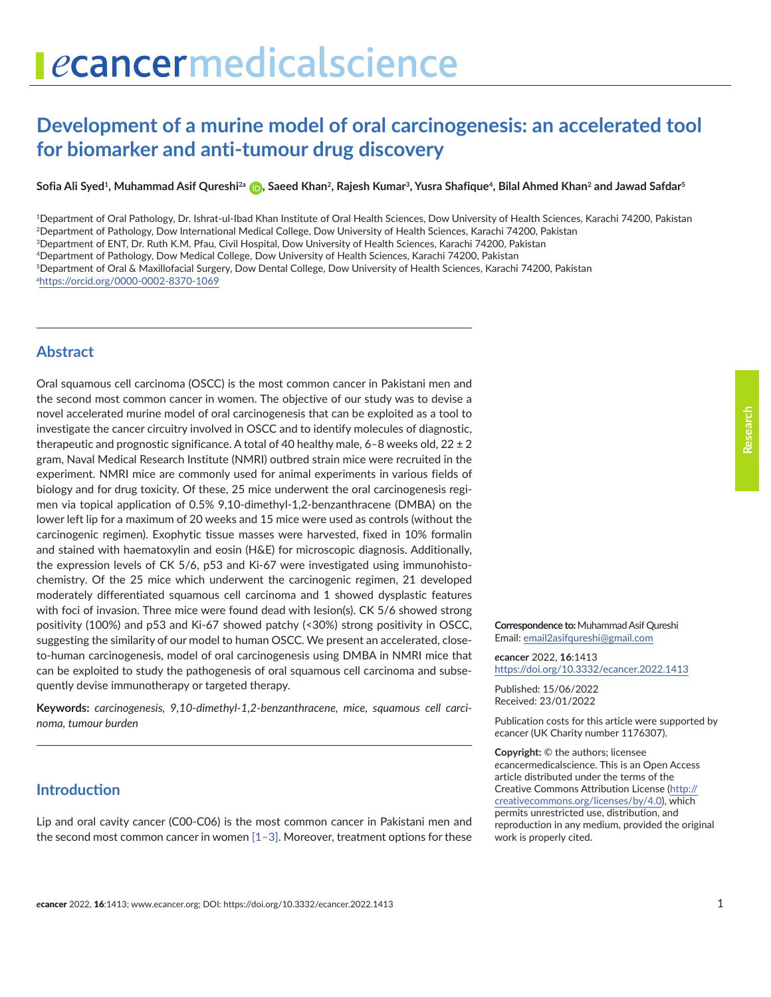# ecancermedicalscience

# **Development of a murine model of oral carcinogenesis: an accelerated tool for biomarker and anti-tumour drug discovery**

**Sofia Ali Syed1, Muhammad Asif Qureshi2a [,](https://orcid.org/0000-0002-8370-1069) Saeed Khan2, Rajesh Kumar3, Yusra Shafique4, Bilal Ahmed Khan2 and Jawad Safdar5**

1Department of Oral Pathology, Dr. Ishrat-ul-Ibad Khan Institute of Oral Health Sciences, Dow University of Health Sciences, Karachi 74200, Pakistan 2Department of Pathology, Dow International Medical College, Dow University of Health Sciences, Karachi 74200, Pakistan 3Department of ENT, Dr. Ruth K.M. Pfau, Civil Hospital, Dow University of Health Sciences, Karachi 74200, Pakistan 4Department of Pathology, Dow Medical College, Dow University of Health Sciences, Karachi 74200, Pakistan 5Department of Oral & Maxillofacial Surgery, Dow Dental College, Dow University of Health Sciences, Karachi 74200, Pakistan

a <https://orcid.org/0000-0002-8370-1069>

## **Abstract**

Oral squamous cell carcinoma (OSCC) is the most common cancer in Pakistani men and the second most common cancer in women. The objective of our study was to devise a novel accelerated murine model of oral carcinogenesis that can be exploited as a tool to investigate the cancer circuitry involved in OSCC and to identify molecules of diagnostic, therapeutic and prognostic significance. A total of 40 healthy male,  $6-8$  weeks old,  $22 \pm 2$ gram, Naval Medical Research Institute (NMRI) outbred strain mice were recruited in the experiment. NMRI mice are commonly used for animal experiments in various fields of biology and for drug toxicity. Of these, 25 mice underwent the oral carcinogenesis regimen via topical application of 0.5% 9,10-dimethyl-1,2-benzanthracene (DMBA) on the lower left lip for a maximum of 20 weeks and 15 mice were used as controls (without the carcinogenic regimen). Exophytic tissue masses were harvested, fixed in 10% formalin and stained with haematoxylin and eosin (H&E) for microscopic diagnosis. Additionally, the expression levels of CK 5/6, p53 and Ki-67 were investigated using immunohistochemistry. Of the 25 mice which underwent the carcinogenic regimen, 21 developed moderately differentiated squamous cell carcinoma and 1 showed dysplastic features with foci of invasion. Three mice were found dead with lesion(s). CK 5/6 showed strong positivity (100%) and p53 and Ki-67 showed patchy (<30%) strong positivity in OSCC, suggesting the similarity of our model to human OSCC. We present an accelerated, closeto-human carcinogenesis, model of oral carcinogenesis using DMBA in NMRI mice that can be exploited to study the pathogenesis of oral squamous cell carcinoma and subsequently devise immunotherapy or targeted therapy.

**Keywords:** *carcinogenesis, 9,10-dimethyl-1,2-benzanthracene, mice, squamous cell carcinoma, tumour burden*

# **Introduction**

Lip and oral cavity cancer (C00-C06) is the most common cancer in Pakistani men and the second most common cancer in women [\[1–3\]](#page-7-0). Moreover, treatment options for these **Correspondence to:**Muhammad Asif Qureshi

*e***cancer** 2022, **16**:1413 [https://doi.org/10.3332/ecancer.2022.141](https://doi.org/10.3332/ecancer.2022.1413)3

Email: [email2asifqureshi@gmail.com](mailto:email2asifqureshi@gmail.com)

Published: 15/06/2022 Received: 23/01/2022

Publication costs for this article were supported by *e*cancer (UK Charity number 1176307).

**Copyright:** © the authors; licensee *e*cancermedicalscience. This is an Open Access article distributed under the terms of the Creative Commons Attribution License (http:// creativecommons.org/licenses/by/4.0), which permits unrestricted use, distribution, and reproduction in any medium, provided the original work is properly cited.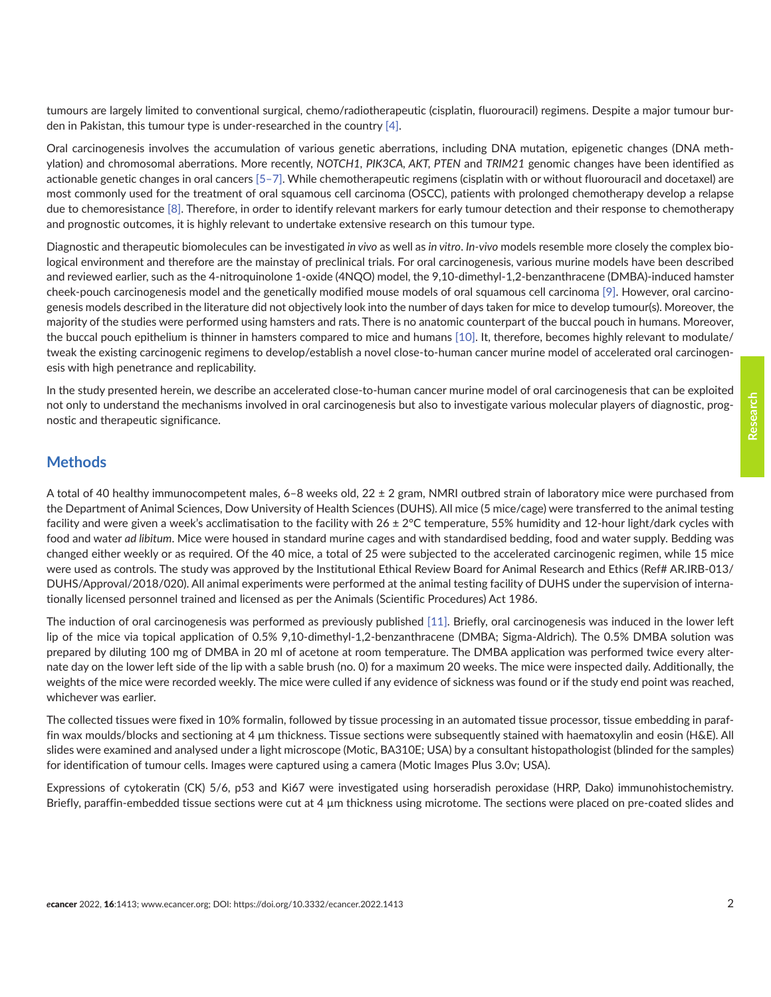tumours are largely limited to conventional surgical, chemo/radiotherapeutic (cisplatin, fluorouracil) regimens. Despite a major tumour burden in Pakistan, this tumour type is under-researched in the country [\[4\].](#page-7-0)

Oral carcinogenesis involves the accumulation of various genetic aberrations, including DNA mutation, epigenetic changes (DNA methylation) and chromosomal aberrations. More recently, *NOTCH1, PIK3CA, AKT, PTEN* and *TRIM21* genomic changes have been identified as actionable genetic changes in oral cancers [\[5–7\]](#page-8-0). While chemotherapeutic regimens (cisplatin with or without fluorouracil and docetaxel) are most commonly used for the treatment of oral squamous cell carcinoma (OSCC), patients with prolonged chemotherapy develop a relapse due to chemoresistance [\[8\].](#page-8-0) Therefore, in order to identify relevant markers for early tumour detection and their response to chemotherapy and prognostic outcomes, it is highly relevant to undertake extensive research on this tumour type.

Diagnostic and therapeutic biomolecules can be investigated *in vivo* as well as *in vitro*. *In-vivo* models resemble more closely the complex biological environment and therefore are the mainstay of preclinical trials. For oral carcinogenesis, various murine models have been described and reviewed earlier, such as the 4-nitroquinolone 1-oxide (4NQO) model, the 9,10-dimethyl-1,2-benzanthracene (DMBA)-induced hamster cheek-pouch carcinogenesis model and the genetically modified mouse models of oral squamous cell carcinoma [\[9\]](#page-8-0). However, oral carcinogenesis models described in the literature did not objectively look into the number of days taken for mice to develop tumour(s). Moreover, the majority of the studies were performed using hamsters and rats. There is no anatomic counterpart of the buccal pouch in humans. Moreover, the buccal pouch epithelium is thinner in hamsters compared to mice and humans [\[10\].](#page-8-0) It, therefore, becomes highly relevant to modulate/ tweak the existing carcinogenic regimens to develop/establish a novel close-to-human cancer murine model of accelerated oral carcinogenesis with high penetrance and replicability.

In the study presented herein, we describe an accelerated close-to-human cancer murine model of oral carcinogenesis that can be exploited not only to understand the mechanisms involved in oral carcinogenesis but also to investigate various molecular players of diagnostic, prognostic and therapeutic significance.

#### **Methods**

A total of 40 healthy immunocompetent males, 6–8 weeks old, 22 ± 2 gram, NMRI outbred strain of laboratory mice were purchased from the Department of Animal Sciences, Dow University of Health Sciences (DUHS). All mice (5 mice/cage) were transferred to the animal testing facility and were given a week's acclimatisation to the facility with 26 ± 2°C temperature, 55% humidity and 12-hour light/dark cycles with food and water *ad libitum*. Mice were housed in standard murine cages and with standardised bedding, food and water supply. Bedding was changed either weekly or as required. Of the 40 mice, a total of 25 were subjected to the accelerated carcinogenic regimen, while 15 mice were used as controls. The study was approved by the Institutional Ethical Review Board for Animal Research and Ethics (Ref# AR.IRB-013/ DUHS/Approval/2018/020). All animal experiments were performed at the animal testing facility of DUHS under the supervision of internationally licensed personnel trained and licensed as per the Animals (Scientific Procedures) Act 1986.

The induction of oral carcinogenesis was performed as previously published [\[11\]](#page-8-0). Briefly, oral carcinogenesis was induced in the lower left lip of the mice via topical application of 0.5% 9,10-dimethyl-1,2-benzanthracene (DMBA; Sigma-Aldrich). The 0.5% DMBA solution was prepared by diluting 100 mg of DMBA in 20 ml of acetone at room temperature. The DMBA application was performed twice every alternate day on the lower left side of the lip with a sable brush (no. 0) for a maximum 20 weeks. The mice were inspected daily. Additionally, the weights of the mice were recorded weekly. The mice were culled if any evidence of sickness was found or if the study end point was reached, whichever was earlier.

The collected tissues were fixed in 10% formalin, followed by tissue processing in an automated tissue processor, tissue embedding in paraffin wax moulds/blocks and sectioning at 4 µm thickness. Tissue sections were subsequently stained with haematoxylin and eosin (H&E). All slides were examined and analysed under a light microscope (Motic, BA310E; USA) by a consultant histopathologist (blinded for the samples) for identification of tumour cells. Images were captured using a camera (Motic Images Plus 3.0v; USA).

Expressions of cytokeratin (CK) 5/6, p53 and Ki67 were investigated using horseradish peroxidase (HRP, Dako) immunohistochemistry. Briefly, paraffin-embedded tissue sections were cut at 4 µm thickness using microtome. The sections were placed on pre-coated slides and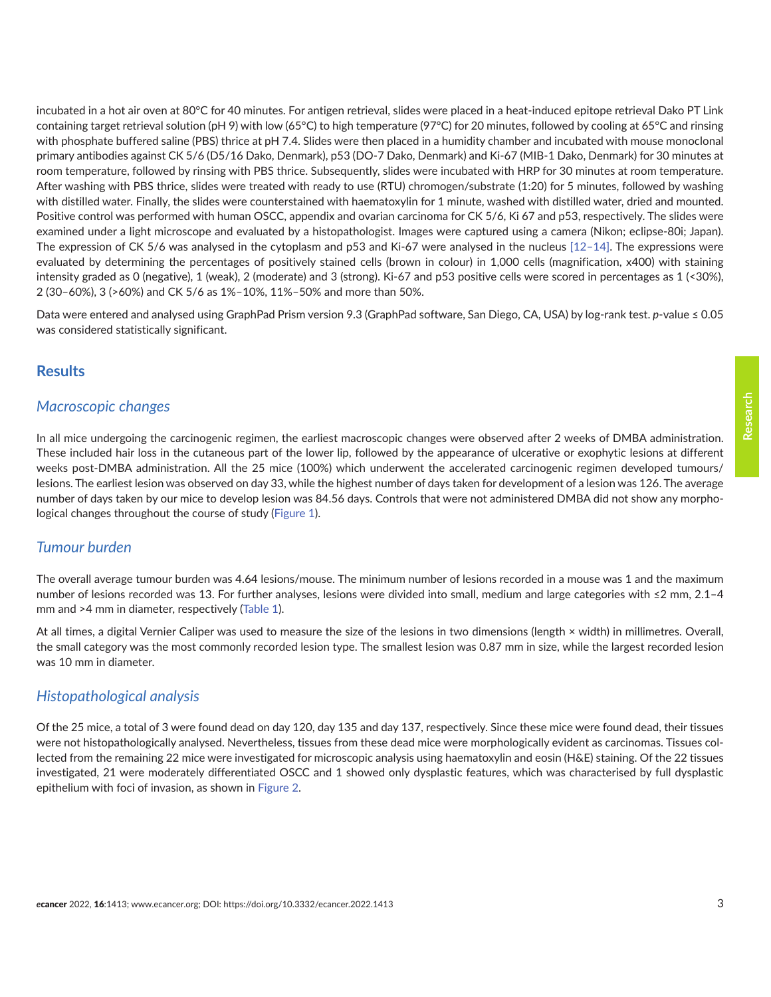incubated in a hot air oven at 80°C for 40 minutes. For antigen retrieval, slides were placed in a heat-induced epitope retrieval Dako PT Link containing target retrieval solution (pH 9) with low (65°C) to high temperature (97°C) for 20 minutes, followed by cooling at 65°C and rinsing with phosphate buffered saline (PBS) thrice at pH 7.4. Slides were then placed in a humidity chamber and incubated with mouse monoclonal primary antibodies against CK 5/6 (D5/16 Dako, Denmark), p53 (DO-7 Dako, Denmark) and Ki-67 (MIB-1 Dako, Denmark) for 30 minutes at room temperature, followed by rinsing with PBS thrice. Subsequently, slides were incubated with HRP for 30 minutes at room temperature. After washing with PBS thrice, slides were treated with ready to use (RTU) chromogen/substrate (1:20) for 5 minutes, followed by washing with distilled water. Finally, the slides were counterstained with haematoxylin for 1 minute, washed with distilled water, dried and mounted. Positive control was performed with human OSCC, appendix and ovarian carcinoma for CK 5/6, Ki 67 and p53, respectively. The slides were examined under a light microscope and evaluated by a histopathologist. Images were captured using a camera (Nikon; eclipse-80i; Japan). The expression of CK 5/6 was analysed in the cytoplasm and p53 and Ki-67 were analysed in the nucleus [\[12–14\]](#page-8-0). The expressions were evaluated by determining the percentages of positively stained cells (brown in colour) in 1,000 cells (magnification, x400) with staining intensity graded as 0 (negative), 1 (weak), 2 (moderate) and 3 (strong). Ki-67 and p53 positive cells were scored in percentages as 1 (<30%), 2 (30–60%), 3 (>60%) and CK 5/6 as 1%–10%, 11%–50% and more than 50%.

Data were entered and analysed using GraphPad Prism version 9.3 (GraphPad software, San Diego, CA, USA) by log-rank test. *p*-value ≤ 0.05 was considered statistically significant.

#### **Results**

#### *Macroscopic changes*

In all mice undergoing the carcinogenic regimen, the earliest macroscopic changes were observed after 2 weeks of DMBA administration. These included hair loss in the cutaneous part of the lower lip, followed by the appearance of ulcerative or exophytic lesions at different weeks post-DMBA administration. All the 25 mice (100%) which underwent the accelerated carcinogenic regimen developed tumours/ lesions. The earliest lesion was observed on day 33, while the highest number of days taken for development of a lesion was 126. The average number of days taken by our mice to develop lesion was 84.56 days. Controls that were not administered DMBA did not show any morphological changes throughout the course of study ([Figure 1](#page-3-0)).

#### *Tumour burden*

The overall average tumour burden was 4.64 lesions/mouse. The minimum number of lesions recorded in a mouse was 1 and the maximum number of lesions recorded was 13. For further analyses, lesions were divided into small, medium and large categories with ≤2 mm, 2.1–4 mm and >4 mm in diameter, respectively [\(Table 1](#page-4-0)).

At all times, a digital Vernier Caliper was used to measure the size of the lesions in two dimensions (length × width) in millimetres. Overall, the small category was the most commonly recorded lesion type. The smallest lesion was 0.87 mm in size, while the largest recorded lesion was 10 mm in diameter.

#### *Histopathological analysis*

Of the 25 mice, a total of 3 were found dead on day 120, day 135 and day 137, respectively. Since these mice were found dead, their tissues were not histopathologically analysed. Nevertheless, tissues from these dead mice were morphologically evident as carcinomas. Tissues collected from the remaining 22 mice were investigated for microscopic analysis using haematoxylin and eosin (H&E) staining. Of the 22 tissues investigated, 21 were moderately differentiated OSCC and 1 showed only dysplastic features, which was characterised by full dysplastic epithelium with foci of invasion, as shown in [Figure 2](#page-5-0).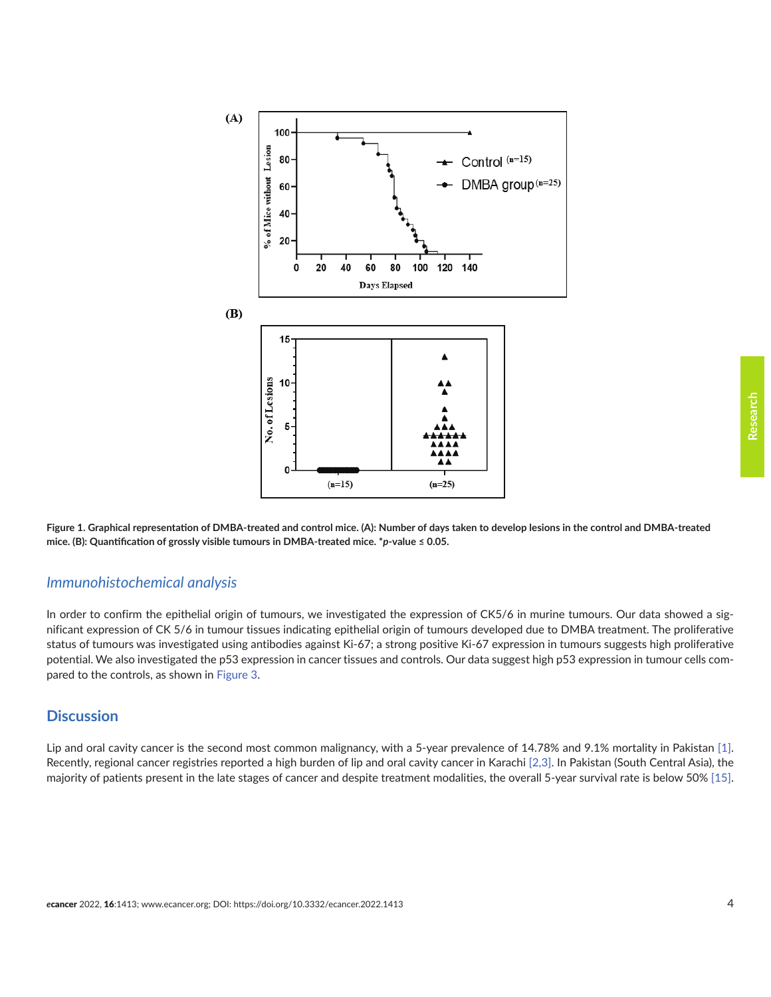<span id="page-3-0"></span>

**Research**

**Figure 1. Graphical representation of DMBA-treated and control mice. (A): Number of days taken to develop lesions in the control and DMBA-treated mice. (B): Quantification of grossly visible tumours in DMBA-treated mice. \****p***-value ≤ 0.05.**

#### *Immunohistochemical analysis*

In order to confirm the epithelial origin of tumours, we investigated the expression of CK5/6 in murine tumours. Our data showed a significant expression of CK 5/6 in tumour tissues indicating epithelial origin of tumours developed due to DMBA treatment. The proliferative status of tumours was investigated using antibodies against Ki-67; a strong positive Ki-67 expression in tumours suggests high proliferative potential. We also investigated the p53 expression in cancer tissues and controls. Our data suggest high p53 expression in tumour cells compared to the controls, as shown in [Figure 3](#page-6-0).

#### **Discussion**

Lip and oral cavity cancer is the second most common malignancy, with a 5-year prevalence of 14.78% and 9.1% mortality in Pakistan [\[1\].](#page-7-0) Recently, regional cancer registries reported a high burden of lip and oral cavity cancer in Karachi [\[2,3\]](#page-7-0). In Pakistan (South Central Asia), the majority of patients present in the late stages of cancer and despite treatment modalities, the overall 5-year survival rate is below 50% [\[15\].](#page-8-0)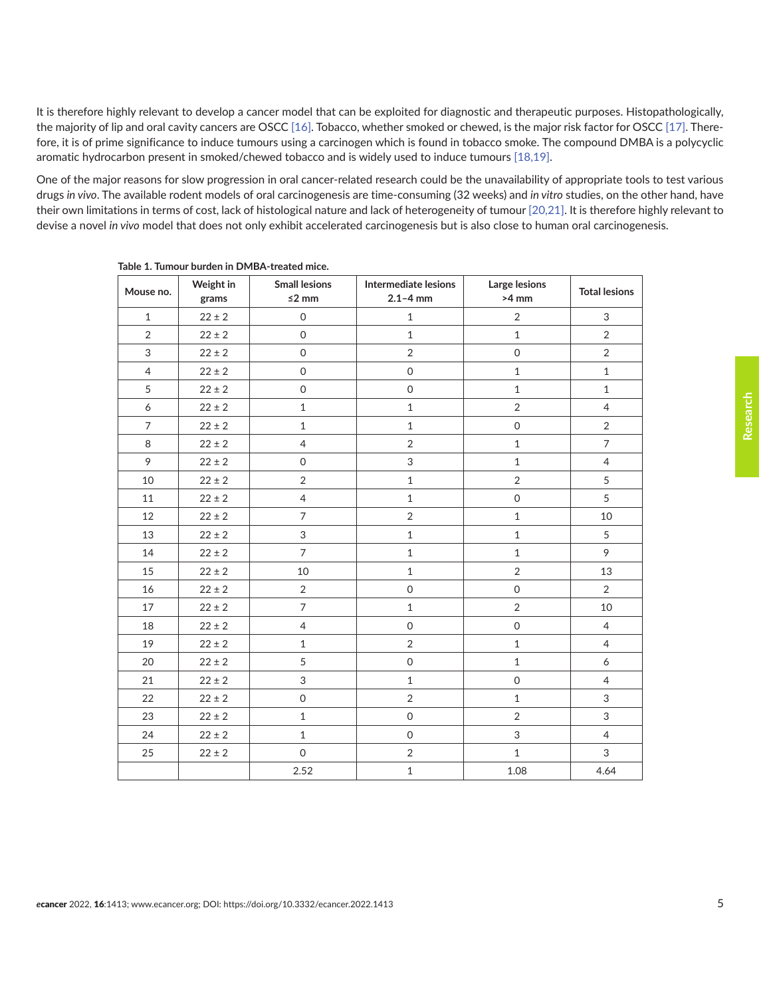<span id="page-4-0"></span>It is therefore highly relevant to develop a cancer model that can be exploited for diagnostic and therapeutic purposes. Histopathologically, the majority of lip and oral cavity cancers are OSCC [\[16\]](#page-8-0). Tobacco, whether smoked or chewed, is the major risk factor for OSCC [\[17\].](#page-8-0) Therefore, it is of prime significance to induce tumours using a carcinogen which is found in tobacco smoke. The compound DMBA is a polycyclic aromatic hydrocarbon present in smoked/chewed tobacco and is widely used to induce tumours [\[18,19\].](#page-8-0)

One of the major reasons for slow progression in oral cancer-related research could be the unavailability of appropriate tools to test various drugs *in vivo*. The available rodent models of oral carcinogenesis are time-consuming (32 weeks) and *in vitro* studies, on the other hand, have their own limitations in terms of cost, lack of histological nature and lack of heterogeneity of tumour [\[20,21\]](#page-8-0). It is therefore highly relevant to devise a novel *in vivo* model that does not only exhibit accelerated carcinogenesis but is also close to human oral carcinogenesis.

| Mouse no.      | Weight in<br>grams | <b>Small lesions</b><br>$≤2$ mm | Intermediate lesions<br>$2.1 - 4$ mm | Large lesions<br>$>4$ mm  | <b>Total lesions</b> |
|----------------|--------------------|---------------------------------|--------------------------------------|---------------------------|----------------------|
| $\mathbf{1}$   | $22 \pm 2$         | $\mathsf{O}\xspace$             | $\mathbf 1$                          | $\sqrt{2}$                | 3                    |
| $\overline{2}$ | $22 \pm 2$         | $\mathbf 0$                     | $\mathbf{1}$                         | $\mathbf{1}$              | 2                    |
| 3              | $22 \pm 2$         | $\mathsf{O}\xspace$             | $\overline{2}$                       | $\mathsf{O}\xspace$       | $\overline{2}$       |
| $\overline{4}$ | $22 \pm 2$         | $\mathsf{O}\xspace$             | $\mathsf{O}$                         | $\mathbf{1}$              | $\mathbf{1}$         |
| 5              | $22 \pm 2$         | $\mathbf 0$                     | $\mathsf{O}$                         | $\mathbf{1}$              | $\mathbf{1}$         |
| 6              | $22 \pm 2$         | $\mathbf 1$                     | $\mathbf 1$                          | $\sqrt{2}$                | $\overline{4}$       |
| $\overline{7}$ | $22 \pm 2$         | $\mathbf 1$                     | $1\,$                                | $\mathsf{O}\xspace$       | $\overline{2}$       |
| 8              | $22 \pm 2$         | $\overline{4}$                  | $\overline{2}$                       | $1\,$                     | $\overline{7}$       |
| 9              | $22 \pm 2$         | $\mathsf{O}\xspace$             | 3                                    | $\mathbf 1$               | $\overline{4}$       |
| 10             | $22 \pm 2$         | $\overline{2}$                  | $\mathbf{1}$                         | $\overline{2}$            | 5                    |
| 11             | $22 \pm 2$         | $\overline{4}$                  | $1\,$                                | $\mathsf{O}\xspace$       | 5                    |
| 12             | $22 \pm 2$         | $\overline{7}$                  | $\overline{2}$                       | $\mathbf{1}$              | 10                   |
| 13             | $22 \pm 2$         | 3                               | $\mathbf 1$                          | $\mathbf 1$               | 5                    |
| 14             | $22 \pm 2$         | $\overline{7}$                  | $\mathbf{1}$                         | $1\,$                     | 9                    |
| 15             | $22 \pm 2$         | 10                              | $\mathbf{1}$                         | $\overline{2}$            | 13                   |
| 16             | $22 \pm 2$         | $\sqrt{2}$                      | $\mathsf{O}$                         | $\mathsf{O}\xspace$       | $\overline{2}$       |
| $17\,$         | $22 \pm 2$         | $\overline{7}$                  | $\mathbf{1}$                         | $\overline{2}$            | 10                   |
| 18             | $22 \pm 2$         | 4                               | $\mathsf{O}\xspace$                  | $\mathsf{O}\xspace$       | $\overline{4}$       |
| 19             | $22 \pm 2$         | $\mathbf{1}$                    | $\overline{2}$                       | $\mathbf 1$               | $\overline{4}$       |
| 20             | $22 \pm 2$         | 5                               | $\mathsf{O}\xspace$                  | $1\,$                     | 6                    |
| 21             | $22 \pm 2$         | 3                               | $\mathbf{1}$                         | $\mathsf{O}\xspace$       | $\overline{4}$       |
| 22             | $22 \pm 2$         | $\mathbf 0$                     | $\overline{2}$                       | $\mathbf{1}$              | 3                    |
| 23             | $22 \pm 2$         | $\,1\,$                         | $\mathsf{O}\xspace$                  | $\sqrt{2}$                | 3                    |
| 24             | $22 \pm 2$         | $\mathbf 1$                     | $\mathsf{O}$                         | $\ensuremath{\mathsf{3}}$ | $\overline{4}$       |
| 25             | $22 \pm 2$         | $\mathsf{O}\xspace$             | $\overline{2}$                       | $\mathbf{1}$              | 3                    |
|                |                    | 2.52                            | $\mathbf 1$                          | 1.08                      | 4.64                 |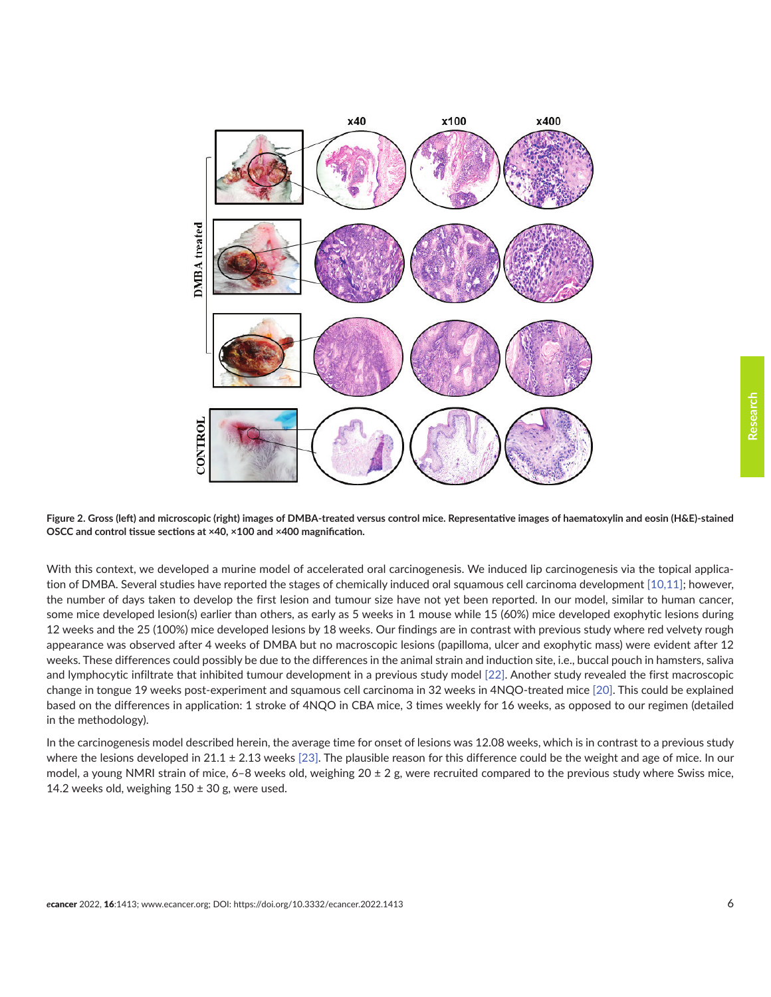<span id="page-5-0"></span>



With this context, we developed a murine model of accelerated oral carcinogenesis. We induced lip carcinogenesis via the topical application of DMBA. Several studies have reported the stages of chemically induced oral squamous cell carcinoma development [\[10,11\];](#page-8-0) however, the number of days taken to develop the first lesion and tumour size have not yet been reported. In our model, similar to human cancer, some mice developed lesion(s) earlier than others, as early as 5 weeks in 1 mouse while 15 (60%) mice developed exophytic lesions during 12 weeks and the 25 (100%) mice developed lesions by 18 weeks. Our findings are in contrast with previous study where red velvety rough appearance was observed after 4 weeks of DMBA but no macroscopic lesions (papilloma, ulcer and exophytic mass) were evident after 12 weeks. These differences could possibly be due to the differences in the animal strain and induction site, i.e., buccal pouch in hamsters, saliva and lymphocytic infiltrate that inhibited tumour development in a previous study model [\[22\]](#page-9-0). Another study revealed the first macroscopic change in tongue 19 weeks post-experiment and squamous cell carcinoma in 32 weeks in 4NQO-treated mice [\[20\].](#page-8-0) This could be explained based on the differences in application: 1 stroke of 4NQO in CBA mice, 3 times weekly for 16 weeks, as opposed to our regimen (detailed in the methodology).

In the carcinogenesis model described herein, the average time for onset of lesions was 12.08 weeks, which is in contrast to a previous study where the lesions developed in 21.1  $\pm$  2.13 weeks [\[23\].](#page-9-0) The plausible reason for this difference could be the weight and age of mice. In our model, a young NMRI strain of mice, 6–8 weeks old, weighing  $20 \pm 2$  g, were recruited compared to the previous study where Swiss mice, 14.2 weeks old, weighing  $150 \pm 30$  g, were used.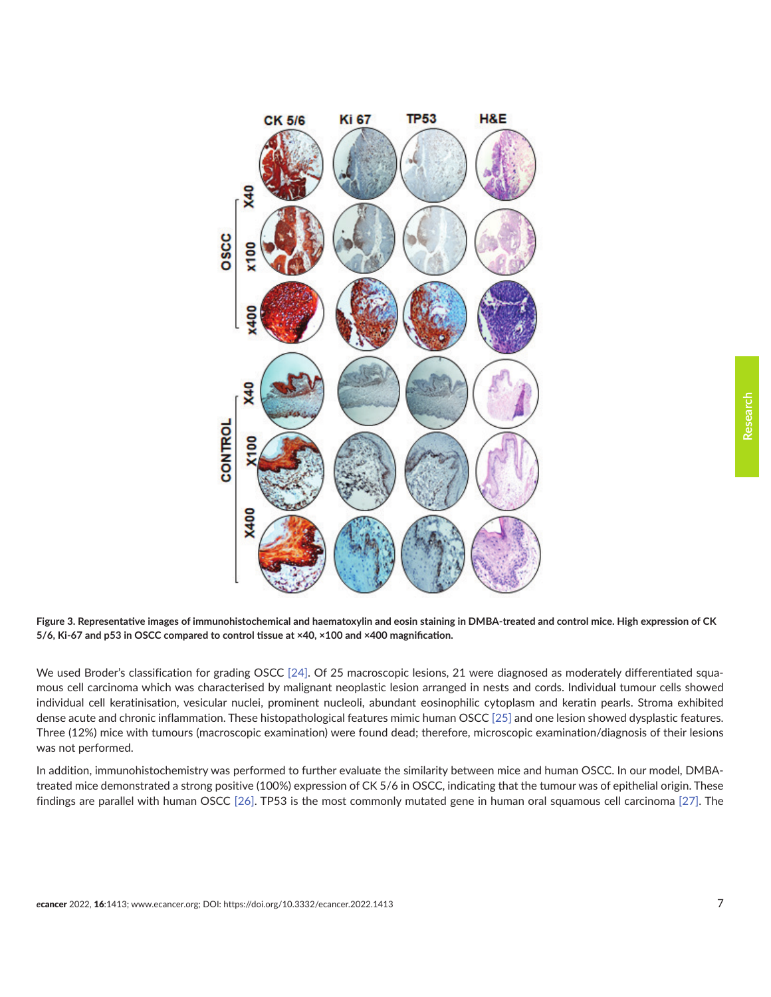**Research**

<span id="page-6-0"></span>

**Figure 3. Representative images of immunohistochemical and haematoxylin and eosin staining in DMBA-treated and control mice. High expression of CK 5/6, Ki-67 and p53 in OSCC compared to control tissue at ×40, ×100 and ×400 magnification.**

We used Broder's classification for grading OSCC [\[24\].](#page-9-0) Of 25 macroscopic lesions, 21 were diagnosed as moderately differentiated squamous cell carcinoma which was characterised by malignant neoplastic lesion arranged in nests and cords. Individual tumour cells showed individual cell keratinisation, vesicular nuclei, prominent nucleoli, abundant eosinophilic cytoplasm and keratin pearls. Stroma exhibited dense acute and chronic inflammation. These histopathological features mimic human OSCC [\[25\]](#page-9-0) and one lesion showed dysplastic features. Three (12%) mice with tumours (macroscopic examination) were found dead; therefore, microscopic examination/diagnosis of their lesions was not performed.

In addition, immunohistochemistry was performed to further evaluate the similarity between mice and human OSCC. In our model, DMBAtreated mice demonstrated a strong positive (100%) expression of CK 5/6 in OSCC, indicating that the tumour was of epithelial origin. These findings are parallel with human OSCC [\[26\]](#page-9-0). TP53 is the most commonly mutated gene in human oral squamous cell carcinoma [\[27\]](#page-9-0). The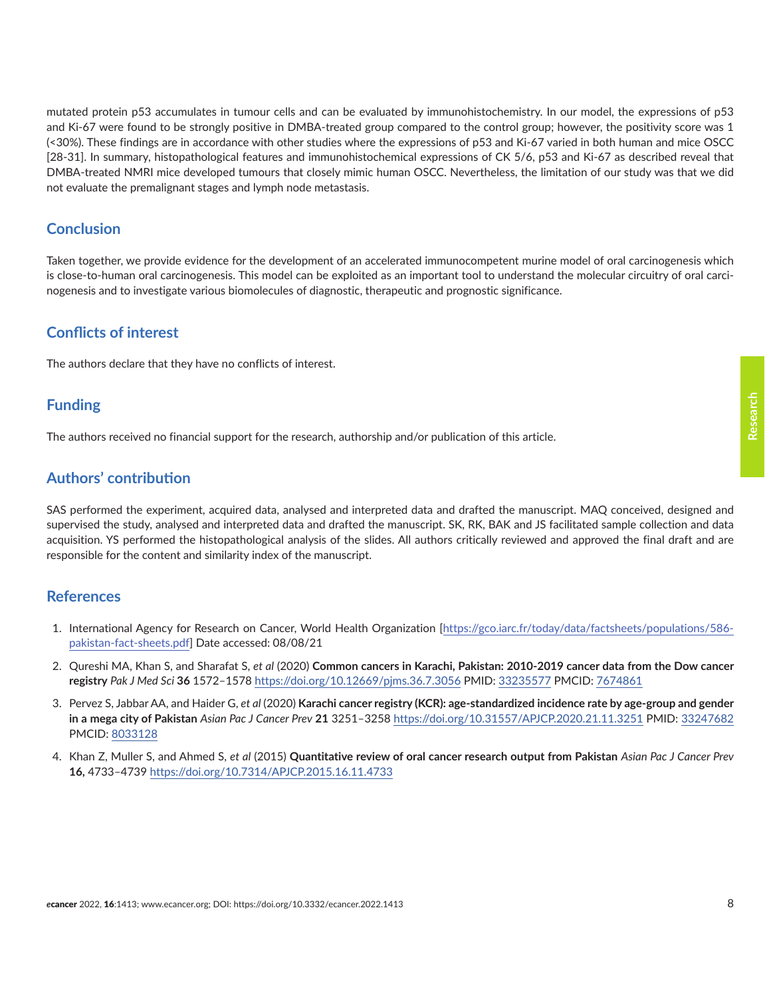**Research**

<span id="page-7-0"></span>mutated protein p53 accumulates in tumour cells and can be evaluated by immunohistochemistry. In our model, the expressions of p53 and Ki-67 were found to be strongly positive in DMBA-treated group compared to the control group; however, the positivity score was 1 (<30%). These findings are in accordance with other studies where the expressions of p53 and Ki-67 varied in both human and mice OSCC [28-31]. In summary, histopathological features and immunohistochemical expressions of CK 5/6, p53 and Ki-67 as described reveal that DMBA-treated NMRI mice developed tumours that closely mimic human OSCC. Nevertheless, the limitation of our study was that we did not evaluate the premalignant stages and lymph node metastasis.

# **Conclusion**

Taken together, we provide evidence for the development of an accelerated immunocompetent murine model of oral carcinogenesis which is close-to-human oral carcinogenesis. This model can be exploited as an important tool to understand the molecular circuitry of oral carcinogenesis and to investigate various biomolecules of diagnostic, therapeutic and prognostic significance.

# **Conflicts of interest**

The authors declare that they have no conflicts of interest.

# **Funding**

The authors received no financial support for the research, authorship and/or publication of this article.

# **Authors' contribution**

SAS performed the experiment, acquired data, analysed and interpreted data and drafted the manuscript. MAQ conceived, designed and supervised the study, analysed and interpreted data and drafted the manuscript. SK, RK, BAK and JS facilitated sample collection and data acquisition. YS performed the histopathological analysis of the slides. All authors critically reviewed and approved the final draft and are responsible for the content and similarity index of the manuscript.

#### **References**

- 1. International Agency for Research on Cancer, World Health Organization [[https://gco.iarc.fr/today/data/factsheets/populations/586](https://gco.iarc.fr/today/data/factsheets/populations/586-pakistan-fact-sheets.pdf) [pakistan-fact-sheets.pdf\]](https://gco.iarc.fr/today/data/factsheets/populations/586-pakistan-fact-sheets.pdf) Date accessed: 08/08/21
- 2. Qureshi MA, Khan S, and Sharafat S, *et al* (2020) **Common cancers in Karachi, Pakistan: 2010-2019 cancer data from the Dow cancer registry** *Pak J Med Sci* **36** 1572–1578<https://doi.org/10.12669/pjms.36.7.3056> PMID: [33235577](http://www.ncbi.nlm.nih.gov/pubmed/33235577) PMCID: [7674861](http://www.ncbi.nlm.nih.gov/pmc/articles/PMC7674861)
- 3. Pervez S, Jabbar AA, and Haider G, *et al* (2020) **Karachi cancer registry (KCR): age-standardized incidence rate by age-group and gender in a mega city of Pakistan** *Asian Pac J Cancer Prev* **21** 3251–3258 <https://doi.org/10.31557/APJCP.2020.21.11.3251>PMID: [33247682](http://www.ncbi.nlm.nih.gov/pubmed/33247682) PMCID: [8033128](http://www.ncbi.nlm.nih.gov/pmc/articles/PMC8033128)
- 4. Khan Z, Muller S, and Ahmed S, *et al* (2015) **Quantitative review of oral cancer research output from Pakistan** *Asian Pac J Cancer Prev* **16,** 4733–4739<https://doi.org/10.7314/APJCP.2015.16.11.4733>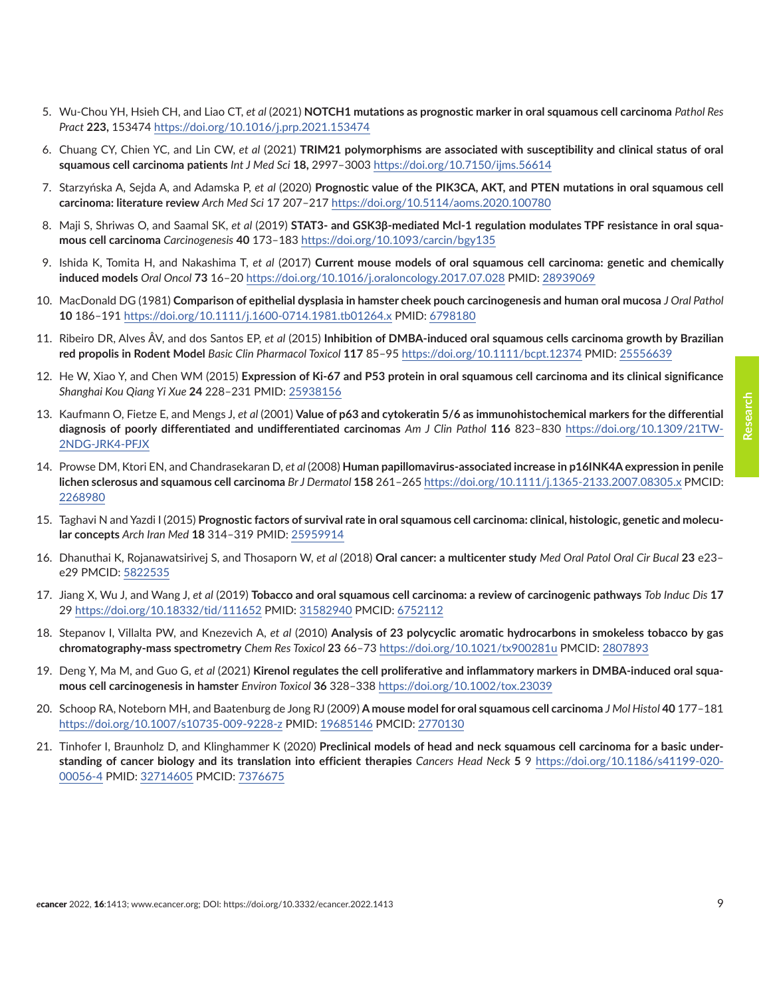- <span id="page-8-0"></span>5. Wu-Chou YH, Hsieh CH, and Liao CT, *et al* (2021) **NOTCH1 mutations as prognostic marker in oral squamous cell carcinoma** *Pathol Res Pract* **223,** 153474<https://doi.org/10.1016/j.prp.2021.153474>
- 6. Chuang CY, Chien YC, and Lin CW, *et al* (2021) **TRIM21 polymorphisms are associated with susceptibility and clinical status of oral squamous cell carcinoma patients** *Int J Med Sci* **18,** 2997–3003 <https://doi.org/10.7150/ijms.56614>
- 7. Starzyńska A, Sejda A, and Adamska P, *et al* (2020) **Prognostic value of the PIK3CA, AKT, and PTEN mutations in oral squamous cell carcinoma: literature review** *Arch Med Sci* 17 207–217<https://doi.org/10.5114/aoms.2020.100780>
- 8. Maji S, Shriwas O, and Saamal SK, *et al* (2019) **STAT3- and GSK3β-mediated Mcl-1 regulation modulates TPF resistance in oral squamous cell carcinoma** *Carcinogenesis* **40** 173–183<https://doi.org/10.1093/carcin/bgy135>
- 9. Ishida K, Tomita H, and Nakashima T, *et al* (2017) **Current mouse models of oral squamous cell carcinoma: genetic and chemically induced models** *Oral Oncol* **73** 16–20 <https://doi.org/10.1016/j.oraloncology.2017.07.028> PMID: [28939069](http://www.ncbi.nlm.nih.gov/pubmed/28939069)
- 10. MacDonald DG (1981) **Comparison of epithelial dysplasia in hamster cheek pouch carcinogenesis and human oral mucosa** *J Oral Pathol*  **10** 186–191 <https://doi.org/10.1111/j.1600-0714.1981.tb01264.x> PMID: [6798180](http://www.ncbi.nlm.nih.gov/pubmed/6798180)
- 11. Ribeiro DR, Alves ÂV, and dos Santos EP, *et al* (2015) **Inhibition of DMBA-induced oral squamous cells carcinoma growth by Brazilian red propolis in Rodent Model** *Basic Clin Pharmacol Toxicol* **117** 85–95<https://doi.org/10.1111/bcpt.12374> PMID: [25556639](http://www.ncbi.nlm.nih.gov/pubmed/25556639)
- 12. He W, Xiao Y, and Chen WM (2015) **Expression of Ki-67 and P53 protein in oral squamous cell carcinoma and its clinical significance** *Shanghai Kou Qiang Yi Xue* **24** 228–231 PMID: [25938156](http://www.ncbi.nlm.nih.gov/pubmed/25938156)
- 13. Kaufmann O, Fietze E, and Mengs J, *et al* (2001) **Value of p63 and cytokeratin 5/6 as immunohistochemical markers for the differential diagnosis of poorly differentiated and undifferentiated carcinomas** *Am J Clin Pathol* **116** 823–830 [https://doi.org/10.1309/21TW-](https://doi.org/10.1309/21TW-2NDG-JRK4-PFJX)[2NDG-JRK4-PFJX](https://doi.org/10.1309/21TW-2NDG-JRK4-PFJX)
- 14. Prowse DM, Ktori EN, and Chandrasekaran D, *et al* (2008) **Human papillomavirus-associated increase in p16INK4A expression in penile lichen sclerosus and squamous cell carcinoma** *Br J Dermatol* **158** 261–265<https://doi.org/10.1111/j.1365-2133.2007.08305.x>PMCID: [2268980](http://www.ncbi.nlm.nih.gov/pmc/articles/PMC2268980)
- 15. Taghavi N and Yazdi I (2015) **Prognostic factors of survival rate in oral squamous cell carcinoma: clinical, histologic, genetic and molecular concepts** *Arch Iran Med* **18** 314–319 PMID: [25959914](http://www.ncbi.nlm.nih.gov/pubmed/25959914)
- 16. Dhanuthai K, Rojanawatsirivej S, and Thosaporn W, *et al* (2018) **Oral cancer: a multicenter study** *Med Oral Patol Oral Cir Bucal* **23** e23– e29 PMCID: [5822535](http://www.ncbi.nlm.nih.gov/pmc/articles/PMC5822535)
- 17. Jiang X, Wu J, and Wang J, *et al* (2019) **Tobacco and oral squamous cell carcinoma: a review of carcinogenic pathways** *Tob Induc Dis* **17** 29 <https://doi.org/10.18332/tid/111652>PMID: [31582940](http://www.ncbi.nlm.nih.gov/pubmed/31582940) PMCID: [6752112](http://www.ncbi.nlm.nih.gov/pmc/articles/PMC6752112)
- 18. Stepanov I, Villalta PW, and Knezevich A, *et al* (2010) **Analysis of 23 polycyclic aromatic hydrocarbons in smokeless tobacco by gas chromatography-mass spectrometry** *Chem Res Toxicol* **23** 66–73 <https://doi.org/10.1021/tx900281u>PMCID: [2807893](http://www.ncbi.nlm.nih.gov/pmc/articles/PMC2807893)
- 19. Deng Y, Ma M, and Guo G, *et al* (2021) **Kirenol regulates the cell proliferative and inflammatory markers in DMBA-induced oral squamous cell carcinogenesis in hamster** *Environ Toxicol* **36** 328–338 <https://doi.org/10.1002/tox.23039>
- 20. Schoop RA, Noteborn MH, and Baatenburg de Jong RJ (2009) **A mouse model for oral squamous cell carcinoma** *J Mol Histol* **40** 177–181 <https://doi.org/10.1007/s10735-009-9228-z> PMID: [19685146](http://www.ncbi.nlm.nih.gov/pubmed/19685146) PMCID: [2770130](http://www.ncbi.nlm.nih.gov/pmc/articles/PMC2770130)
- 21. Tinhofer I, Braunholz D, and Klinghammer K (2020) **Preclinical models of head and neck squamous cell carcinoma for a basic understanding of cancer biology and its translation into efficient therapies** *Cancers Head Neck* **5** 9 [https://doi.org/10.1186/s41199-020-](https://doi.org/10.1186/s41199-020-00056-4) [00056-4](https://doi.org/10.1186/s41199-020-00056-4) PMID: [32714605](http://www.ncbi.nlm.nih.gov/pubmed/32714605) PMCID: [7376675](http://www.ncbi.nlm.nih.gov/pmc/articles/PMC7376675)